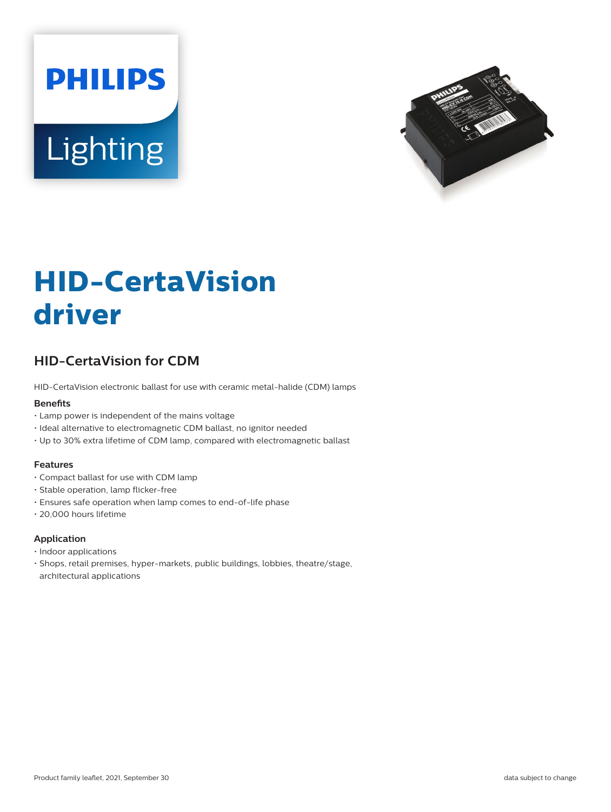



# **HID-CertaVision driver**

# **HID-CertaVision for CDM**

HID-CertaVision electronic ballast for use with ceramic metal-halide (CDM) lamps

#### **Benefits**

- Lamp power is independent of the mains voltage
- Ideal alternative to electromagnetic CDM ballast, no ignitor needed
- Up to 30% extra lifetime of CDM lamp, compared with electromagnetic ballast

#### **Features**

- Compact ballast for use with CDM lamp
- Stable operation, lamp flicker-free
- Ensures safe operation when lamp comes to end-of-life phase
- 20,000 hours lifetime

#### **Application**

- Indoor applications
- Shops, retail premises, hyper-markets, public buildings, lobbies, theatre/stage, architectural applications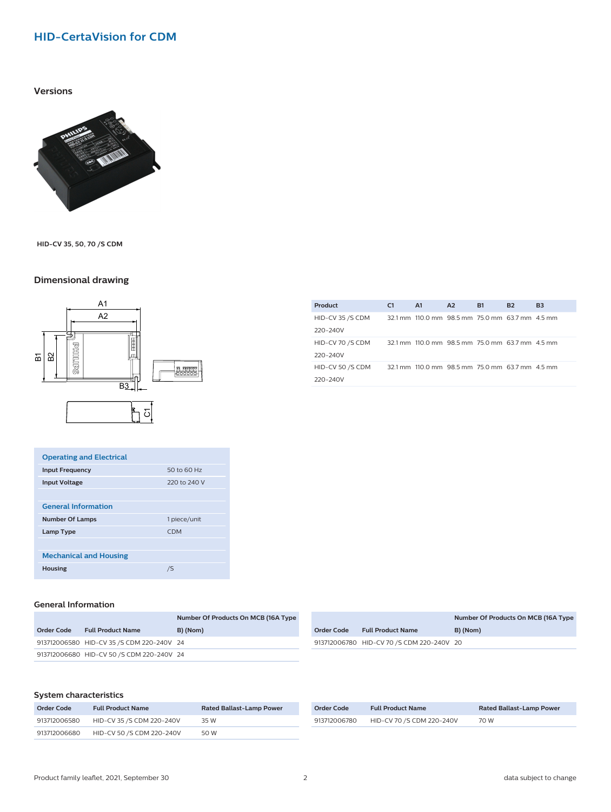# **HID-CertaVision for CDM**

#### **Versions**



**HID-CV 35, 50, 70 /S CDM**

## **Dimensional drawing**



| <b>Operating and Electrical</b>        |              |  |  |  |
|----------------------------------------|--------------|--|--|--|
| <b>Input Frequency</b>                 | 50 to 60 Hz  |  |  |  |
| <b>Input Voltage</b>                   | 220 to 240 V |  |  |  |
|                                        |              |  |  |  |
| <b>General Information</b>             |              |  |  |  |
| <b>Number Of Lamps</b><br>1 piece/unit |              |  |  |  |
|                                        |              |  |  |  |
| Lamp Type                              | <b>CDM</b>   |  |  |  |
|                                        |              |  |  |  |
| <b>Mechanical and Housing</b>          |              |  |  |  |

## **General Information**

|            |                                           | Number Of Products On MCB (16A Type |
|------------|-------------------------------------------|-------------------------------------|
| Order Code | <b>Full Product Name</b>                  | B) (Nom)                            |
|            | 913712006580 HID-CV 35 /S CDM 220-240V 24 |                                     |
|            | 913712006680 HID-CV 50 / SCDM 220-240V 24 |                                     |

|            |                                           | Number Of Products On MCB (16A Type |  |
|------------|-------------------------------------------|-------------------------------------|--|
| Order Code | <b>Full Product Name</b>                  | B) (Nom)                            |  |
|            | 913712006780 HID-CV 70 /S CDM 220-240V 20 |                                     |  |
|            |                                           |                                     |  |

#### **System characteristics**

| Order Code   | <b>Full Product Name</b>  | <b>Rated Ballast-Lamp Power</b> |  |  |
|--------------|---------------------------|---------------------------------|--|--|
| 913712006580 | HID-CV 35 /S CDM 220-240V | 35 W                            |  |  |
| 913712006680 | HID-CV 50 /S CDM 220-240V | 50 W                            |  |  |

| Order Code   | <b>Full Product Name</b>  | <b>Rated Ballast-Lamp Power</b> |
|--------------|---------------------------|---------------------------------|
| 913712006780 | HID-CV 70 /S CDM 220-240V | 70 W                            |

| Product          | C <sub>1</sub> | A1                                              | A2 | <b>B1</b> | <b>B2</b> | <b>B3</b> |
|------------------|----------------|-------------------------------------------------|----|-----------|-----------|-----------|
| HID-CV 35 /S CDM |                | 32.1 mm 110.0 mm 98.5 mm 75.0 mm 63.7 mm 4.5 mm |    |           |           |           |
| 220-240V         |                |                                                 |    |           |           |           |
| HID-CV 70 /S CDM |                | 32.1 mm 110.0 mm 98.5 mm 75.0 mm 63.7 mm 4.5 mm |    |           |           |           |
| 220-240V         |                |                                                 |    |           |           |           |
| HID-CV 50 /S CDM |                | 32.1 mm 110.0 mm 98.5 mm 75.0 mm 63.7 mm 4.5 mm |    |           |           |           |
| 220-240V         |                |                                                 |    |           |           |           |
|                  |                |                                                 |    |           |           |           |